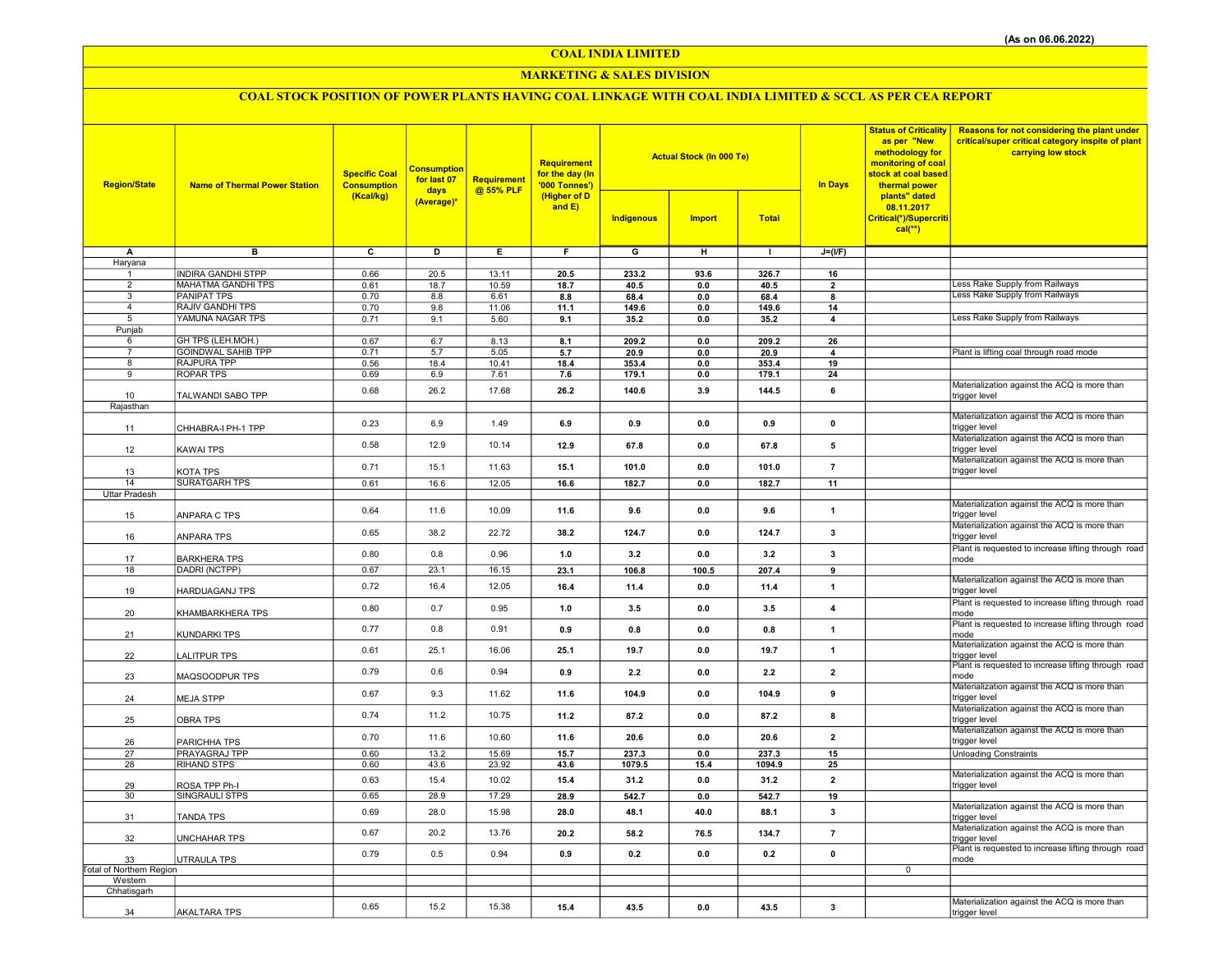COAL INDIA LIMITED

### MARKETING & SALES DIVISION

# COAL STOCK POSITION OF POWER PLANTS HAVING COAL LINKAGE WITH COAL INDIA LIMITED & SCCL AS PER CEA REPORT

| <b>Region/State</b>      | <b>Name of Thermal Power Station</b>            | <b>Specific Coal</b><br><b>Consumption</b><br>(Kcal/kg) | <b>Consumption</b><br>for last 07<br>days | Requirement<br>@ 55% PLF | Requirement<br>for the day (In<br>'000 Tonnes')<br>(Higher of D |                | <b>Actual Stock (In 000 Te)</b> |               | <b>In Days</b>          | <b>Status of Criticality</b><br>as per "New<br>methodology for<br>monitoring of coal<br>stock at coal based<br>thermal power<br>plants" dated | <b>Reasons for not considering the plant under</b><br>critical/super critical category inspite of plant<br>carrying low stock |
|--------------------------|-------------------------------------------------|---------------------------------------------------------|-------------------------------------------|--------------------------|-----------------------------------------------------------------|----------------|---------------------------------|---------------|-------------------------|-----------------------------------------------------------------------------------------------------------------------------------------------|-------------------------------------------------------------------------------------------------------------------------------|
|                          |                                                 |                                                         | (Average)*                                |                          | and $E$ )                                                       | Indigenous     | <b>Import</b>                   | <b>Total</b>  |                         | 08.11.2017<br>Critical(*)/Supercriti<br>$cal(**)$                                                                                             |                                                                                                                               |
| Α                        | в                                               | $\overline{\mathbf{c}}$                                 | D                                         | E                        | F.                                                              | $\overline{G}$ | н                               | $\mathbf{I}$  | $J=(I/F)$               |                                                                                                                                               |                                                                                                                               |
| Haryana                  |                                                 |                                                         |                                           |                          |                                                                 |                |                                 |               |                         |                                                                                                                                               |                                                                                                                               |
| 1<br>$\overline{2}$      | <b>INDIRA GANDHI STPP</b><br>MAHATMA GANDHI TPS | 0.66<br>0.61                                            | 20.5<br>18.7                              | 13.11<br>10.59           | 20.5<br>18.7                                                    | 233.2<br>40.5  | 93.6<br>0.0                     | 326.7<br>40.5 | 16<br>$\mathbf{2}$      |                                                                                                                                               | Less Rake Supply from Railways                                                                                                |
| 3                        | <b>PANIPAT TPS</b>                              | 0.70                                                    | 8.8                                       | 6.61                     | 8.8                                                             | 68.4           | 0.0                             | 68.4          | 8                       |                                                                                                                                               | <b>Less Rake Supply from Railways</b>                                                                                         |
| $\overline{4}$           | <b>RAJIV GANDHI TPS</b>                         | 0.70                                                    | 9.8                                       | 11.06                    | 11.1                                                            | 149.6          | 0.0                             | 149.6         | 14                      |                                                                                                                                               |                                                                                                                               |
| 5                        | YAMUNA NAGAR TPS                                | 0.71                                                    | 9.1                                       | 5.60                     | 9.1                                                             | 35.2           | 0.0                             | 35.2          | $\overline{\mathbf{4}}$ |                                                                                                                                               | Less Rake Supply from Railways                                                                                                |
| Punjab<br>6              | GH TPS (LEH.MOH.)                               | 0.67                                                    | 6.7                                       | 8.13                     | 8.1                                                             | 209.2          | 0.0                             | 209.2         | 26                      |                                                                                                                                               |                                                                                                                               |
| $\overline{7}$           | <b>GOINDWAL SAHIB TPP</b>                       | 0.71                                                    | 5.7                                       | 5.05                     | 5.7                                                             | 20.9           | 0.0                             | 20.9          | $\overline{\mathbf{4}}$ |                                                                                                                                               | Plant is lifting coal through road mode                                                                                       |
| 8                        | RAJPURA TPP                                     | 0.56                                                    | 18.4                                      | 10.41                    | 18.4                                                            | 353.4          | 0.0                             | 353.4         | 19                      |                                                                                                                                               |                                                                                                                               |
| 9                        | ROPAR TPS                                       | 0.69                                                    | 6.9                                       | 7.61                     | 7.6                                                             | 179.1          | 0.0                             | 179.1         | 24                      |                                                                                                                                               | Materialization against the ACQ is more than                                                                                  |
| 10                       | TALWANDI SABO TPP                               | 0.68                                                    | 26.2                                      | 17.68                    | 26.2                                                            | 140.6          | 3.9                             | 144.5         | 6                       |                                                                                                                                               | trigger level                                                                                                                 |
| Rajasthan                |                                                 |                                                         |                                           |                          |                                                                 |                |                                 |               |                         |                                                                                                                                               |                                                                                                                               |
| 11                       | CHHABRA-I PH-1 TPP                              | 0.23                                                    | 6.9                                       | 1.49                     | 6.9                                                             | 0.9            | 0.0                             | 0.9           | $\pmb{0}$               |                                                                                                                                               | Materialization against the ACQ is more than<br>trigger level                                                                 |
| 12                       | KAWAI TPS                                       | 0.58                                                    | 12.9                                      | 10.14                    | 12.9                                                            | 67.8           | 0.0                             | 67.8          | 5                       |                                                                                                                                               | Materialization against the ACQ is more than<br>trigger level                                                                 |
| 13                       | KOTA TPS                                        | 0.71                                                    | 15.1                                      | 11.63                    | 15.1                                                            | 101.0          | 0.0                             | 101.0         | $\overline{7}$          |                                                                                                                                               | Materialization against the ACQ is more than<br>trigger level                                                                 |
| 14                       | <b>SURATGARH TPS</b>                            | 0.61                                                    | 16.6                                      | 12.05                    | 16.6                                                            | 182.7          | 0.0                             | 182.7         | 11                      |                                                                                                                                               |                                                                                                                               |
| Uttar Pradesh            |                                                 |                                                         |                                           |                          |                                                                 |                |                                 |               |                         |                                                                                                                                               |                                                                                                                               |
| 15                       | ANPARA C TPS                                    | 0.64                                                    | 11.6                                      | 10.09                    | 11.6                                                            | 9.6            | 0.0                             | 9.6           | $\mathbf{1}$            |                                                                                                                                               | Materialization against the ACQ is more than<br>trigger level<br>Materialization against the ACQ is more than                 |
| 16                       | <b>ANPARA TPS</b>                               | 0.65                                                    | 38.2                                      | 22.72                    | 38.2                                                            | 124.7          | 0.0                             | 124.7         | $\mathbf{3}$            |                                                                                                                                               | trigger level                                                                                                                 |
| 17                       | BARKHERA TPS                                    | 0.80                                                    | 0.8                                       | 0.96                     | 1.0                                                             | 3.2            | 0.0                             | 3.2           | 3                       |                                                                                                                                               | Plant is requested to increase lifting through road<br>mode                                                                   |
| 18                       | DADRI (NCTPP)                                   | 0.67                                                    | 23.1                                      | 16.15                    | 23.1                                                            | 106.8          | 100.5                           | 207.4         | 9                       |                                                                                                                                               |                                                                                                                               |
| 19                       | HARDUAGANJ TPS                                  | 0.72                                                    | 16.4                                      | 12.05                    | 16.4                                                            | 11.4           | 0.0                             | 11.4          | $\mathbf{1}$            |                                                                                                                                               | Materialization against the ACQ is more than<br>trigger level                                                                 |
| 20                       | KHAMBARKHERA TPS                                | 0.80                                                    | 0.7                                       | 0.95                     | 1.0                                                             | 3.5            | 0.0                             | 3.5           | $\overline{\bf{4}}$     |                                                                                                                                               | Plant is requested to increase lifting through road<br>mode                                                                   |
| 21                       | <b>KUNDARKI TPS</b>                             | 0.77                                                    | 0.8                                       | 0.91                     | 0.9                                                             | 0.8            | 0.0                             | 0.8           | $\mathbf{1}$            |                                                                                                                                               | Plant is requested to increase lifting through road<br>mode                                                                   |
| 22                       | LALITPUR TPS                                    | 0.61                                                    | 25.1                                      | 16.06                    | 25.1                                                            | 19.7           | 0.0                             | 19.7          | $\mathbf{1}$            |                                                                                                                                               | Materialization against the ACQ is more than<br>trigger level<br>Plant is requested to increase lifting through road          |
| 23                       | MAQSOODPUR TPS                                  | 0.79                                                    | 0.6                                       | 0.94                     | 0.9                                                             | 2.2            | 0.0                             | 2.2           | $\overline{2}$          |                                                                                                                                               | mode<br>Materialization against the ACQ is more than                                                                          |
| 24                       | <b>MEJA STPP</b>                                | 0.67                                                    | 9.3                                       | 11.62                    | 11.6                                                            | 104.9          | 0.0                             | 104.9         | 9                       |                                                                                                                                               | trigger level<br>Materialization against the ACQ is more than                                                                 |
| 25                       | OBRA TPS                                        | 0.74                                                    | 11.2                                      | 10.75                    | 11.2                                                            | 87.2           | 0.0                             | 87.2          | 8                       |                                                                                                                                               | trigger level<br>Materialization against the ACQ is more than                                                                 |
| 26                       | PARICHHA TPS                                    | 0.70                                                    | 11.6                                      | 10.60                    | 11.6                                                            | 20.6           | 0.0                             | 20.6          | $\overline{2}$          |                                                                                                                                               | trigger level                                                                                                                 |
| 27                       | PRAYAGRAJ TPP                                   | 0.60                                                    | 13.2                                      | 15.69                    | 15.7                                                            | 237.3          | 0.0                             | 237.3         | 15                      |                                                                                                                                               | <b>Unloading Constraints</b>                                                                                                  |
| 28                       | <b>RIHAND STPS</b>                              | 0.60                                                    | 43.6                                      | 23.92                    | 43.6                                                            | 1079.5         | 15.4                            | 1094.9        | 25                      |                                                                                                                                               | Materialization against the ACQ is more than                                                                                  |
| 29                       | ROSA TPP Ph-I                                   | 0.63                                                    | 15.4                                      | 10.02                    | 15.4                                                            | 31.2           | 0.0                             | 31.2          | $\overline{2}$          |                                                                                                                                               | trigger level                                                                                                                 |
| 30                       | SINGRAULI STPS                                  | 0.65                                                    | 28.9                                      | 17.29                    | 28.9                                                            | 542.7          | 0.0                             | 542.7         | 19                      |                                                                                                                                               | Materialization against the ACQ is more than                                                                                  |
| 31                       | <b>TANDA TPS</b>                                | 0.69                                                    | 28.0                                      | 15.98                    | 28.0                                                            | 48.1           | 40.0                            | 88.1          | 3                       |                                                                                                                                               | trigger level<br>Materialization against the ACQ is more than                                                                 |
| 32                       | <b>UNCHAHAR TPS</b>                             | 0.67                                                    | 20.2                                      | 13.76                    | 20.2                                                            | 58.2           | 76.5                            | 134.7         | $\overline{7}$          |                                                                                                                                               | trigger level<br>Plant is requested to increase lifting through road                                                          |
| 33                       | UTRAULA TPS                                     | 0.79                                                    | 0.5                                       | 0.94                     | 0.9                                                             | 0.2            | 0.0                             | 0.2           | $\pmb{0}$               |                                                                                                                                               | mode                                                                                                                          |
| Total of Northern Region |                                                 |                                                         |                                           |                          |                                                                 |                |                                 |               |                         | $\mathbf 0$                                                                                                                                   |                                                                                                                               |
| Western<br>Chhatisgarh   |                                                 |                                                         |                                           |                          |                                                                 |                |                                 |               |                         |                                                                                                                                               |                                                                                                                               |
|                          |                                                 | 0.65                                                    | 15.2                                      | 15.38                    | 15.4                                                            | 43.5           | 0.0                             | 43.5          | 3                       |                                                                                                                                               | Materialization against the ACQ is more than                                                                                  |
| 34                       | <b>AKALTARA TPS</b>                             |                                                         |                                           |                          |                                                                 |                |                                 |               |                         |                                                                                                                                               | trigger level                                                                                                                 |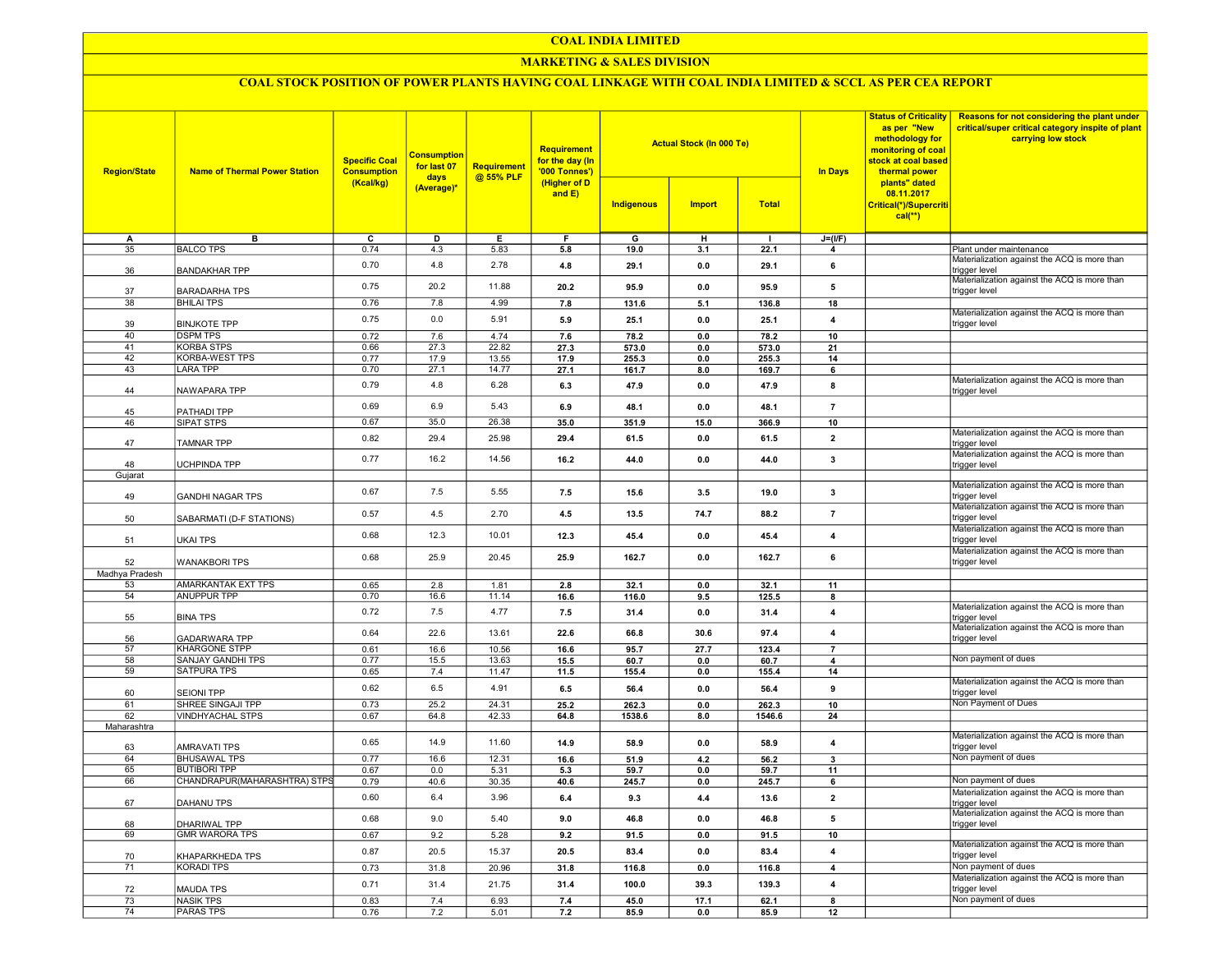### COAL INDIA LIMITED

### MARKETING & SALES DIVISION

## COAL STOCK POSITION OF POWER PLANTS HAVING COAL LINKAGE WITH COAL INDIA LIMITED & SCCL AS PER CEA REPORT

| <b>Region/State</b> | <b>Name of Thermal Power Station</b>       | <b>Specific Coal</b><br><b>Consumption</b><br>(Kcal/kg) | <b>Consumption</b><br>for last 07<br>days<br>(Average)* | Requirement<br>@ 55% PLF | Requirement<br>for the day (In<br>'000 Tonnes')<br>(Higher of D<br>and $E$ ) |                | <b>Actual Stock (In 000 Te)</b> |               | <b>Status of Criticality</b><br>as per "New<br>methodology for<br>monitoring of coal<br>stock at coal based<br><b>In Days</b><br>thermal power | Reasons for not considering the plant under<br>critical/super critical category inspite of plant<br>carrying low stock |                                                                                                               |
|---------------------|--------------------------------------------|---------------------------------------------------------|---------------------------------------------------------|--------------------------|------------------------------------------------------------------------------|----------------|---------------------------------|---------------|------------------------------------------------------------------------------------------------------------------------------------------------|------------------------------------------------------------------------------------------------------------------------|---------------------------------------------------------------------------------------------------------------|
|                     |                                            |                                                         |                                                         |                          |                                                                              | Indigenous     | <b>Import</b>                   | <b>Total</b>  |                                                                                                                                                | plants" dated<br>08.11.2017<br>Critical(*)/Supercriti<br>$cal(**)$                                                     |                                                                                                               |
| А                   | в                                          | $\overline{c}$                                          | D                                                       | E                        | F                                                                            | $\overline{G}$ | $\overline{H}$                  | $\mathbf{I}$  | $J=(I/F)$                                                                                                                                      |                                                                                                                        |                                                                                                               |
| 35                  | <b>BALCO TPS</b>                           | 0.74                                                    | 4.3                                                     | 5.83                     | 5.8                                                                          | 19.0           | 3.1                             | 22.1          | $\overline{4}$                                                                                                                                 |                                                                                                                        | Plant under maintenance                                                                                       |
| 36                  | <b>BANDAKHAR TPP</b>                       | 0.70                                                    | 4.8                                                     | 2.78                     | 4.8                                                                          | 29.1           | 0.0                             | 29.1          | 6                                                                                                                                              |                                                                                                                        | Materialization against the ACQ is more than<br>trigger level<br>Materialization against the ACQ is more than |
| 37                  | <b>BARADARHA TPS</b>                       | 0.75                                                    | 20.2                                                    | 11.88                    | 20.2                                                                         | 95.9           | 0.0                             | 95.9          | 5                                                                                                                                              |                                                                                                                        | trigger level                                                                                                 |
| 38                  | <b>BHILAI TPS</b>                          | 0.76                                                    | 7.8                                                     | 4.99                     | 7.8                                                                          | 131.6          | 5.1                             | 136.8         | 18                                                                                                                                             |                                                                                                                        | Materialization against the ACQ is more than                                                                  |
| 39<br>40            | <b>BINJKOTE TPP</b><br><b>DSPM TPS</b>     | 0.75<br>0.72                                            | 0.0<br>7.6                                              | 5.91<br>4.74             | 5.9<br>7.6                                                                   | 25.1<br>78.2   | 0.0<br>0.0                      | 25.1<br>78.2  | $\overline{\mathbf{4}}$<br>10                                                                                                                  |                                                                                                                        | trigger level                                                                                                 |
| 41                  | <b>KORBA STPS</b>                          | 0.66                                                    | 27.3                                                    | 22.82                    | 27.3                                                                         | 573.0          | 0.0                             | 573.0         | 21                                                                                                                                             |                                                                                                                        |                                                                                                               |
| 42                  | <b>KORBA-WEST TPS</b>                      | 0.77                                                    | 17.9                                                    | 13.55                    | 17.9                                                                         | 255.3          | 0.0                             | 255.3         | 14                                                                                                                                             |                                                                                                                        |                                                                                                               |
| 43                  | <b>LARA TPP</b>                            | 0.70                                                    | 27.1                                                    | 14.77                    | 27.1                                                                         | 161.7          | 8.0                             | 169.7         | 6                                                                                                                                              |                                                                                                                        |                                                                                                               |
| 44                  | NAWAPARA TPP                               | 0.79                                                    | 4.8                                                     | 6.28                     | 6.3                                                                          | 47.9           | 0.0                             | 47.9          | 8                                                                                                                                              |                                                                                                                        | Materialization against the ACQ is more than<br>trigger level                                                 |
| 45                  | PATHADI TPP                                | 0.69                                                    | 6.9                                                     | 5.43                     | 6.9                                                                          | 48.1           | 0.0                             | 48.1          | $\overline{7}$                                                                                                                                 |                                                                                                                        |                                                                                                               |
| 46                  | <b>SIPAT STPS</b>                          | 0.67                                                    | 35.0                                                    | 26.38                    | 35.0                                                                         | 351.9          | 15.0                            | 366.9         | 10                                                                                                                                             |                                                                                                                        |                                                                                                               |
| 47                  | <b>TAMNAR TPP</b>                          | 0.82                                                    | 29.4                                                    | 25.98                    | 29.4                                                                         | 61.5           | 0.0                             | 61.5          | $\overline{2}$                                                                                                                                 |                                                                                                                        | Materialization against the ACQ is more than<br>trigger level                                                 |
|                     |                                            | 0.77                                                    | 16.2                                                    | 14.56                    | 16.2                                                                         | 44.0           | 0.0                             | 44.0          | 3                                                                                                                                              |                                                                                                                        | Materialization against the ACQ is more than                                                                  |
| 48                  | UCHPINDA TPP                               |                                                         |                                                         |                          |                                                                              |                |                                 |               |                                                                                                                                                |                                                                                                                        | trigger level                                                                                                 |
| Gujarat             |                                            |                                                         |                                                         |                          |                                                                              |                |                                 |               |                                                                                                                                                |                                                                                                                        | Materialization against the ACQ is more than                                                                  |
| 49                  | <b>GANDHI NAGAR TPS</b>                    | 0.67                                                    | 7.5                                                     | 5.55                     | 7.5                                                                          | 15.6           | 3.5                             | 19.0          | 3                                                                                                                                              |                                                                                                                        | trigger level<br>Materialization against the ACQ is more than                                                 |
| 50                  | SABARMATI (D-F STATIONS)                   | 0.57                                                    | 4.5                                                     | 2.70                     | 4.5                                                                          | 13.5           | 74.7                            | 88.2          | $\overline{7}$                                                                                                                                 |                                                                                                                        | trigger level<br>Materialization against the ACQ is more than                                                 |
| 51                  | <b>UKAI TPS</b>                            | 0.68                                                    | 12.3                                                    | 10.01                    | 12.3                                                                         | 45.4           | 0.0                             | 45.4          | $\overline{\mathbf{4}}$                                                                                                                        |                                                                                                                        | rigger level                                                                                                  |
| 52                  | <b>WANAKBORI TPS</b>                       | 0.68                                                    | 25.9                                                    | 20.45                    | 25.9                                                                         | 162.7          | 0.0                             | 162.7         | 6                                                                                                                                              |                                                                                                                        | Materialization against the ACQ is more than<br>trigger level                                                 |
| Madhya Pradesh      |                                            |                                                         |                                                         |                          |                                                                              |                |                                 |               |                                                                                                                                                |                                                                                                                        |                                                                                                               |
| 53                  | AMARKANTAK EXT TPS                         | 0.65                                                    | 2.8                                                     | 1.81                     | 2.8                                                                          | 32.1           | 0.0                             | 32.1          | 11                                                                                                                                             |                                                                                                                        |                                                                                                               |
| 54<br>55            | ANUPPUR TPP<br><b>BINA TPS</b>             | 0.70<br>0.72                                            | 16.6<br>7.5                                             | 11.14<br>4.77            | 16.6<br>7.5                                                                  | 116.0<br>31.4  | 9.5<br>0.0                      | 125.5<br>31.4 | 8<br>$\overline{4}$                                                                                                                            |                                                                                                                        | Materialization against the ACQ is more than<br>trigger level                                                 |
| 56                  | <b>GADARWARA TPP</b>                       | 0.64                                                    | 22.6                                                    | 13.61                    | 22.6                                                                         | 66.8           | 30.6                            | 97.4          | $\overline{\mathbf{4}}$                                                                                                                        |                                                                                                                        | Materialization against the ACQ is more than<br>trigger level                                                 |
| 57                  | <b>KHARGONE STPP</b>                       | 0.61                                                    | 16.6                                                    | 10.56                    | 16.6                                                                         | 95.7           | 27.7                            | 123.4         | $\overline{7}$                                                                                                                                 |                                                                                                                        |                                                                                                               |
| 58                  | SANJAY GANDHI TPS                          | 0.77                                                    | 15.5                                                    | 13.63                    | 15.5                                                                         | 60.7           | 0.0                             | 60.7          | $\overline{\mathbf{4}}$                                                                                                                        |                                                                                                                        | Non payment of dues                                                                                           |
| 59                  | <b>SATPURA TPS</b>                         | 0.65                                                    | 7.4                                                     | 11.47                    | 11.5                                                                         | 155.4          | 0.0                             | 155.4         | 14                                                                                                                                             |                                                                                                                        |                                                                                                               |
| 60                  | <b>SEIONI TPP</b>                          | 0.62                                                    | 6.5                                                     | 4.91                     | 6.5                                                                          | 56.4           | 0.0                             | 56.4          | 9                                                                                                                                              |                                                                                                                        | Materialization against the ACQ is more than<br>trigger level                                                 |
| 61                  | SHREE SINGAJI TPP                          | 0.73                                                    | 25.2                                                    | 24.31                    | 25.2                                                                         | 262.3          | 0.0                             | 262.3         | 10                                                                                                                                             |                                                                                                                        | Non Payment of Dues                                                                                           |
| 62                  | <b>VINDHYACHAL STPS</b>                    | 0.67                                                    | 64.8                                                    | 42.33                    | 64.8                                                                         | 1538.6         | 8.0                             | 1546.6        | 24                                                                                                                                             |                                                                                                                        |                                                                                                               |
| Maharashtra         |                                            | 0.65                                                    | 14.9                                                    | 11.60                    | 14.9                                                                         | 58.9           | 0.0                             | 58.9          | $\overline{4}$                                                                                                                                 |                                                                                                                        | Materialization against the ACQ is more than<br>trigger level                                                 |
| 63<br>64            | <b>AMRAVATI TPS</b><br><b>BHUSAWAL TPS</b> | 0.77                                                    | 16.6                                                    | 12.31                    | 16.6                                                                         | 51.9           | 4.2                             | 56.2          | $\overline{\mathbf{3}}$                                                                                                                        |                                                                                                                        | Non payment of dues                                                                                           |
| 65                  | <b>BUTIBORI TPP</b>                        | 0.67                                                    | 0.0                                                     | 5.31                     | 5.3                                                                          | 59.7           | 0.0                             | 59.7          | 11                                                                                                                                             |                                                                                                                        |                                                                                                               |
| 66                  | CHANDRAPUR(MAHARASHTRA) STPS               | 0.79                                                    | 40.6                                                    | 30.35                    | 40.6                                                                         | 245.7          | 0.0                             | 245.7         | 6                                                                                                                                              |                                                                                                                        | Non payment of dues                                                                                           |
| 67                  | <b>DAHANU TPS</b>                          | 0.60                                                    | 6.4                                                     | 3.96                     | 6.4                                                                          | 9.3            | 4.4                             | 13.6          | $\overline{2}$                                                                                                                                 |                                                                                                                        | Materialization against the ACQ is more than<br>trigger level                                                 |
| 68                  | DHARIWAL TPP                               | 0.68                                                    | 9.0                                                     | 5.40                     | 9.0                                                                          | 46.8           | 0.0                             | 46.8          | 5                                                                                                                                              |                                                                                                                        | Materialization against the ACQ is more than<br>trigger level                                                 |
| 69                  | <b>GMR WARORA TPS</b>                      | 0.67                                                    | 9.2                                                     | 5.28                     | 9.2                                                                          | 91.5           | 0.0                             | 91.5          | 10                                                                                                                                             |                                                                                                                        |                                                                                                               |
| 70                  | KHAPARKHEDA TPS                            | 0.87                                                    | 20.5                                                    | 15.37                    | 20.5                                                                         | 83.4           | 0.0                             | 83.4          | $\overline{4}$                                                                                                                                 |                                                                                                                        | Materialization against the ACQ is more than<br>trigger level                                                 |
| 71                  | <b>KORADI TPS</b>                          | 0.73                                                    | 31.8                                                    | 20.96                    | 31.8                                                                         | 116.8          | 0.0                             | 116.8         | $\overline{4}$                                                                                                                                 |                                                                                                                        | Non payment of dues                                                                                           |
| 72                  | <b>MAUDA TPS</b>                           | 0.71                                                    | 31.4                                                    | 21.75                    | 31.4                                                                         | 100.0          | 39.3                            | 139.3         | $\overline{4}$                                                                                                                                 |                                                                                                                        | Materialization against the ACQ is more than<br>trigger level                                                 |
| 73                  | <b>NASIK TPS</b>                           | 0.83                                                    | 7.4                                                     | 6.93                     | 7.4                                                                          | 45.0           | 17.1                            | 62.1          | $\overline{\mathbf{8}}$                                                                                                                        |                                                                                                                        | Non payment of dues                                                                                           |
| 74                  | <b>PARAS TPS</b>                           | 0.76                                                    | 7.2                                                     | 5.01                     | 7.2                                                                          | 85.9           | 0.0                             | 85.9          | 12                                                                                                                                             |                                                                                                                        |                                                                                                               |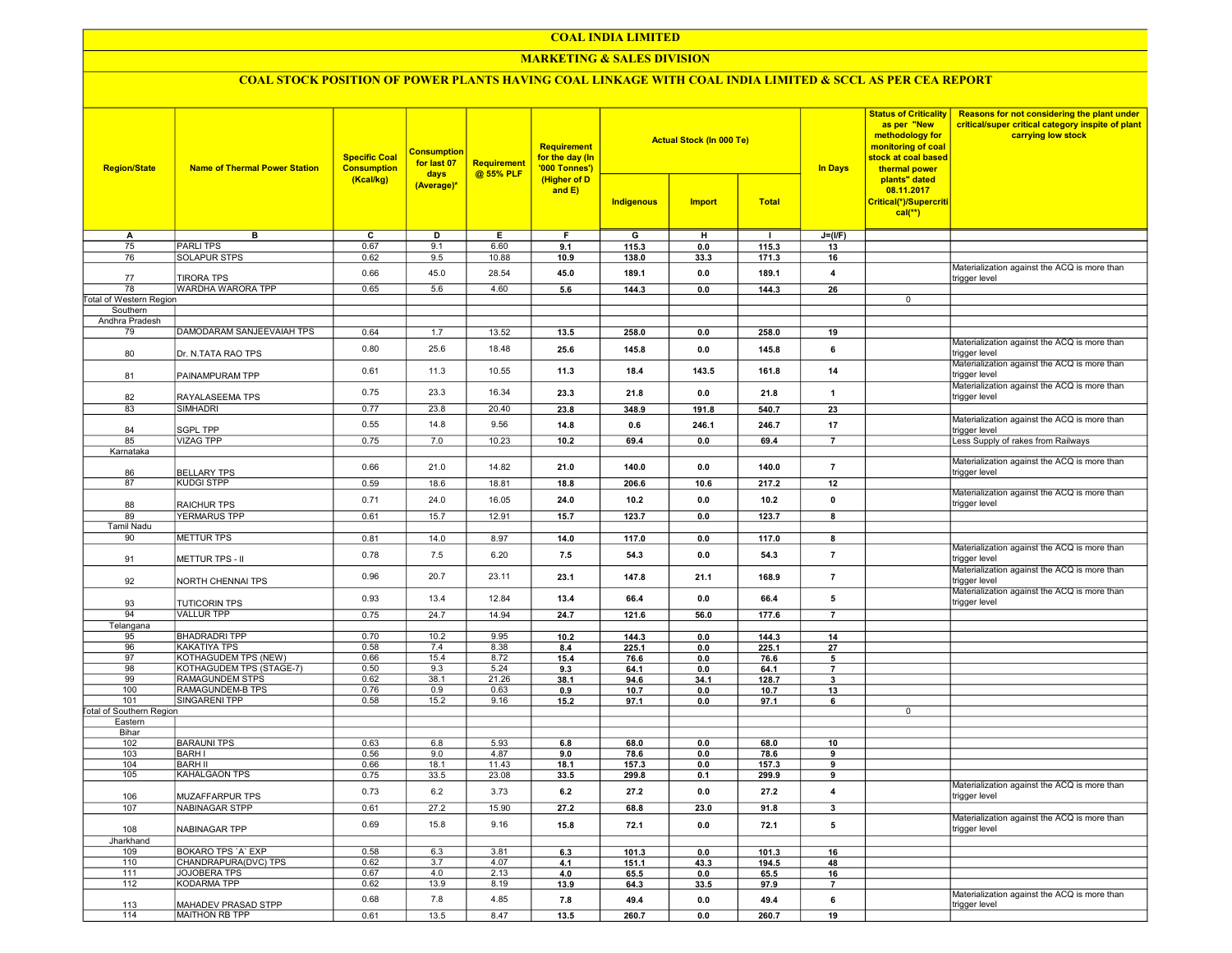## COAL INDIA LIMITED

## **MARKETING & SALES DIVISION**

# COAL STOCK POSITION OF POWER PLANTS HAVING COAL LINKAGE WITH COAL INDIA LIMITED & SCCL AS PER CEA REPORT

|                                 | <b>Name of Thermal Power Station</b>            | <b>Specific Coal</b><br><b>Consumption</b> | <b>Consumption</b><br>for last 07<br>days<br>(Average)* | <b>Requirement</b><br>@ 55% PLF | <b>Requirement</b><br>for the day (In<br>'000 Tonnes')<br>(Higher of D<br>and $E$ ) |                |                                 |                |                                | <b>Status of Criticality</b>                                                                                                                                        | <b>Reasons for not considering the plant under</b>                      |
|---------------------------------|-------------------------------------------------|--------------------------------------------|---------------------------------------------------------|---------------------------------|-------------------------------------------------------------------------------------|----------------|---------------------------------|----------------|--------------------------------|---------------------------------------------------------------------------------------------------------------------------------------------------------------------|-------------------------------------------------------------------------|
| <b>Region/State</b>             |                                                 |                                            |                                                         |                                 |                                                                                     |                | <b>Actual Stock (In 000 Te)</b> |                | <b>In Days</b>                 | as per "New<br>methodology for<br>monitoring of coal<br>stock at coal based<br>thermal power<br>plants" dated<br>08.11.2017<br>Critical(*)/Supercriti<br>$cal$ (**) | critical/super critical category inspite of plant<br>carrying low stock |
|                                 |                                                 | (Kcal/kg)                                  |                                                         |                                 |                                                                                     | Indigenous     | <b>Import</b>                   | <b>Total</b>   |                                |                                                                                                                                                                     |                                                                         |
| А                               | в                                               | c                                          | D                                                       | Е.                              | F.                                                                                  | G              | н                               | п.             | $J=(I/F)$                      |                                                                                                                                                                     |                                                                         |
| 75                              | <b>PARLITPS</b>                                 | 0.67                                       | 9.1                                                     | 6.60                            | 9.1                                                                                 | 115.3          | 0.0                             | 115.3          | 13                             |                                                                                                                                                                     |                                                                         |
| 76                              | <b>SOLAPUR STPS</b>                             | 0.62                                       | 9.5                                                     | 10.88                           | 10.9                                                                                | 138.0          | 33.3                            | 171.3          | 16                             |                                                                                                                                                                     |                                                                         |
| 77                              | <b>TIRORA TPS</b>                               | 0.66                                       | 45.0                                                    | 28.54                           | 45.0                                                                                | 189.1          | $0.0\,$                         | 189.1          | $\overline{\mathbf{4}}$        |                                                                                                                                                                     | Materialization against the ACQ is more than<br>trigger level           |
| 78                              | WARDHA WARORA TPP                               | 0.65                                       | 5.6                                                     | 4.60                            | 5.6                                                                                 | 144.3          | 0.0                             | 144.3          | 26                             |                                                                                                                                                                     |                                                                         |
| <b>Total of Western Region</b>  |                                                 |                                            |                                                         |                                 |                                                                                     |                |                                 |                |                                | 0                                                                                                                                                                   |                                                                         |
| Southern                        |                                                 |                                            |                                                         |                                 |                                                                                     |                |                                 |                |                                |                                                                                                                                                                     |                                                                         |
| Andhra Pradesh                  |                                                 |                                            |                                                         |                                 |                                                                                     |                |                                 |                |                                |                                                                                                                                                                     |                                                                         |
| 79                              | DAMODARAM SANJEEVAIAH TPS                       | 0.64                                       | 1.7                                                     | 13.52                           | 13.5                                                                                | 258.0          | 0.0                             | 258.0          | 19                             |                                                                                                                                                                     |                                                                         |
| 80                              | Dr. N.TATA RAO TPS                              | 0.80                                       | 25.6                                                    | 18.48                           | 25.6                                                                                | 145.8          | 0.0                             | 145.8          | 6                              |                                                                                                                                                                     | Materialization against the ACQ is more than<br>trigger level           |
| 81                              | PAINAMPURAM TPP                                 | 0.61                                       | 11.3                                                    | 10.55                           | 11.3                                                                                | 18.4           | 143.5                           | 161.8          | 14                             |                                                                                                                                                                     | Materialization against the ACQ is more than<br>trigger level           |
| 82                              | RAYALASEEMA TPS                                 | 0.75                                       | 23.3                                                    | 16.34                           | 23.3                                                                                | 21.8           | 0.0                             | 21.8           | $\overline{1}$                 |                                                                                                                                                                     | Materialization against the ACQ is more than<br>trigger level           |
| 83                              | <b>SIMHADRI</b>                                 | 0.77                                       | 23.8                                                    | 20.40                           | 23.8                                                                                | 348.9          | 191.8                           | 540.7          | 23                             |                                                                                                                                                                     |                                                                         |
|                                 |                                                 | 0.55                                       | 14.8                                                    | 9.56                            | 14.8                                                                                | 0.6            | 246.1                           | 246.7          | 17                             |                                                                                                                                                                     | Materialization against the ACQ is more than                            |
| 84<br>85                        | <b>SGPL TPP</b><br><b>VIZAG TPP</b>             | 0.75                                       | 7.0                                                     | 10.23                           | 10.2                                                                                | 69.4           | 0.0                             | 69.4           | $\overline{7}$                 |                                                                                                                                                                     | trigger level<br>Less Supply of rakes from Railways                     |
| Karnataka                       |                                                 |                                            |                                                         |                                 |                                                                                     |                |                                 |                |                                |                                                                                                                                                                     |                                                                         |
| 86                              | <b>BELLARY TPS</b>                              | 0.66                                       | 21.0                                                    | 14.82                           | 21.0                                                                                | 140.0          | 0.0                             | 140.0          | $\overline{7}$                 |                                                                                                                                                                     | Materialization against the ACQ is more than<br>trigger level           |
| 87                              | <b>KUDGI STPP</b>                               | 0.59                                       | 18.6                                                    | 18.81                           | 18.8                                                                                | 206.6          | 10.6                            | 217.2          | 12                             |                                                                                                                                                                     |                                                                         |
|                                 |                                                 | 0.71                                       | 24.0                                                    | 16.05                           | 24.0                                                                                | 10.2           | 0.0                             | 10.2           | $\pmb{0}$                      |                                                                                                                                                                     | Materialization against the ACQ is more than                            |
| 88                              | <b>RAICHUR TPS</b>                              |                                            |                                                         |                                 |                                                                                     |                |                                 |                |                                |                                                                                                                                                                     | trigger level                                                           |
| 89                              | <b>YERMARUS TPP</b>                             | 0.61                                       | 15.7                                                    | 12.91                           | 15.7                                                                                | 123.7          | 0.0                             | 123.7          | $\overline{\mathbf{8}}$        |                                                                                                                                                                     |                                                                         |
| Tamil Nadu<br>90                |                                                 |                                            |                                                         |                                 |                                                                                     |                |                                 |                |                                |                                                                                                                                                                     |                                                                         |
|                                 | <b>METTUR TPS</b>                               | 0.81                                       | 14.0                                                    | 8.97                            | 14.0                                                                                | 117.0          | 0.0                             | 117.0          | 8                              |                                                                                                                                                                     | Materialization against the ACQ is more than                            |
| 91                              | <b>METTUR TPS - II</b>                          | 0.78                                       | 7.5                                                     | 6.20                            | 7.5                                                                                 | 54.3           | 0.0                             | 54.3           | $\overline{7}$                 |                                                                                                                                                                     | trigger level<br>Materialization against the ACQ is more than           |
| 92                              | NORTH CHENNAI TPS                               | 0.96                                       | 20.7                                                    | 23.11                           | 23.1                                                                                | 147.8          | 21.1                            | 168.9          | $\overline{7}$                 |                                                                                                                                                                     | trigger level<br>Materialization against the ACQ is more than           |
| 93                              | <b>TUTICORIN TPS</b>                            | 0.93                                       | 13.4                                                    | 12.84                           | 13.4                                                                                | 66.4           | 0.0                             | 66.4           | 5                              |                                                                                                                                                                     | trigger level                                                           |
| 94                              | <b>VALLUR TPP</b>                               | 0.75                                       | 24.7                                                    | 14.94                           | 24.7                                                                                | 121.6          | 56.0                            | 177.6          | $\overline{7}$                 |                                                                                                                                                                     |                                                                         |
| Telangana<br>95                 | <b>BHADRADRI TPP</b>                            | 0.70                                       | 10.2                                                    | 9.95                            | 10.2                                                                                | 144.3          | 0.0                             | 144.3          | 14                             |                                                                                                                                                                     |                                                                         |
| 96                              | <b>KAKATIYA TPS</b>                             | 0.58                                       | 7.4                                                     | 8.38                            | 8.4                                                                                 | 225.1          | 0.0                             | 225.1          | 27                             |                                                                                                                                                                     |                                                                         |
| 97                              | KOTHAGUDEM TPS (NEW)                            | 0.66                                       | 15.4                                                    | 8.72                            | 15.4                                                                                | 76.6           | 0.0                             | 76.6           | 5                              |                                                                                                                                                                     |                                                                         |
| 98                              | KOTHAGUDEM TPS (STAGE-7)                        | 0.50                                       | 9.3                                                     | 5.24                            | 9.3                                                                                 | 64.1           | 0.0                             | 64.1           | $\overline{7}$                 |                                                                                                                                                                     |                                                                         |
| 99                              | RAMAGUNDEM STPS                                 | 0.62                                       | 38.1                                                    | 21.26                           | 38.1                                                                                | 94.6           | 34.1                            | 128.7          | $\mathbf{3}$                   |                                                                                                                                                                     |                                                                         |
| 100<br>101                      | RAMAGUNDEM-B TPS<br><b>SINGARENI TPP</b>        | 0.76<br>0.58                               | 0.9<br>15.2                                             | 0.63<br>9.16                    | 0.9<br>15.2                                                                         | 10.7<br>97.1   | 0.0                             | 10.7<br>97.1   | 13                             |                                                                                                                                                                     |                                                                         |
| <b>Total of Southern Region</b> |                                                 |                                            |                                                         |                                 |                                                                                     |                | 0.0                             |                | 6                              | 0                                                                                                                                                                   |                                                                         |
| Eastern                         |                                                 |                                            |                                                         |                                 |                                                                                     |                |                                 |                |                                |                                                                                                                                                                     |                                                                         |
| Bihar                           |                                                 |                                            |                                                         |                                 |                                                                                     |                |                                 |                |                                |                                                                                                                                                                     |                                                                         |
| 102                             | <b>BARAUNI TPS</b>                              | 0.63                                       | 6.8                                                     | 5.93                            | 6.8                                                                                 | 68.0           | 0.0                             | 68.0           | 10                             |                                                                                                                                                                     |                                                                         |
| 103                             | <b>BARHI</b>                                    | 0.56<br>0.66                               | 9.0<br>18.1                                             | 4.87<br>11.43                   | 9.0                                                                                 | 78.6           | 0.0                             | 78.6           | 9                              |                                                                                                                                                                     |                                                                         |
| 104<br>105                      | <b>BARH II</b><br>KAHALGAON TPS                 | 0.75                                       | 33.5                                                    | 23.08                           | 18.1<br>33.5                                                                        | 157.3<br>299.8 | 0.0<br>0.1                      | 157.3<br>299.9 | 9<br>9                         |                                                                                                                                                                     |                                                                         |
|                                 |                                                 |                                            |                                                         |                                 |                                                                                     |                |                                 |                |                                |                                                                                                                                                                     | Materialization against the ACQ is more than                            |
| 106<br>107                      | <b>MUZAFFARPUR TPS</b><br><b>NABINAGAR STPP</b> | 0.73                                       | 6.2<br>27.2                                             | 3.73                            | 6.2                                                                                 | 27.2           | 0.0                             | 27.2           | $\overline{4}$<br>$\mathbf{3}$ |                                                                                                                                                                     | trigger level                                                           |
|                                 |                                                 | 0.61                                       |                                                         | 15.90                           | 27.2                                                                                | 68.8           | 23.0                            | 91.8           |                                |                                                                                                                                                                     | Materialization against the ACQ is more than                            |
| 108                             | NABINAGAR TPP                                   | 0.69                                       | 15.8                                                    | 9.16                            | 15.8                                                                                | 72.1           | 0.0                             | 72.1           | 5                              |                                                                                                                                                                     | trigger level                                                           |
| Jharkhand<br>109                | BOKARO TPS 'A' EXP                              | 0.58                                       | 6.3                                                     | 3.81                            | 6.3                                                                                 | 101.3          | 0.0                             | 101.3          | 16                             |                                                                                                                                                                     |                                                                         |
| 110                             | CHANDRAPURA(DVC) TPS                            | 0.62                                       | 3.7                                                     | 4.07                            | 4.1                                                                                 | 151.1          | 43.3                            | 194.5          | 48                             |                                                                                                                                                                     |                                                                         |
| 111                             | <b>JOJOBERA TPS</b>                             | 0.67                                       | 4.0                                                     | 2.13                            | 4.0                                                                                 | 65.5           | 0.0                             | 65.5           | 16                             |                                                                                                                                                                     |                                                                         |
| 112                             | KODARMA TPP                                     | 0.62                                       | 13.9                                                    | 8.19                            | 13.9                                                                                | 64.3           | 33.5                            | 97.9           | $\overline{7}$                 |                                                                                                                                                                     |                                                                         |
| 113                             | MAHADEV PRASAD STPP                             | 0.68                                       | 7.8                                                     | 4.85                            | 7.8                                                                                 | 49.4           | 0.0                             | 49.4           | 6                              |                                                                                                                                                                     | Materialization against the ACQ is more than<br>trigger level           |
| 114                             | <b>MAITHON RB TPP</b>                           | 0.61                                       | 13.5                                                    | 8.47                            | 13.5                                                                                | 260.7          | 0.0                             | 260.7          | 19                             |                                                                                                                                                                     |                                                                         |